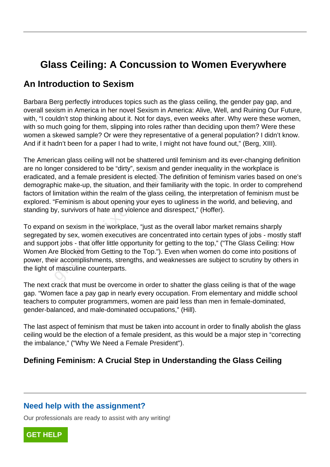# **Glass Ceiling: A Concussion to Women Everywhere**

# **An Introduction to Sexism**

Barbara Berg perfectly introduces topics such as the glass ceiling, the gender pay gap, and overall sexism in America in her novel Sexism in America: Alive, Well, and Ruining Our Future, with, "I couldn't stop thinking about it. Not for days, even weeks after. Why were these women, with so much going for them, slipping into roles rather than deciding upon them? Were these women a skewed sample? Or were they representative of a general population? I didn't know. And if it hadn't been for a paper I had to write, I might not have found out," (Berg, XIII).

The American glass ceiling will not be shattered until feminism and its ever-changing definition are no longer considered to be "dirty", sexism and gender inequality in the workplace is eradicated, and a female president is elected. The definition of feminism varies based on one's demographic make-up, the situation, and their familiarity with the topic. In order to comprehend factors of limitation within the realm of the glass ceiling, the interpretation of feminism must be explored. "Feminism is about opening your eyes to ugliness in the world, and believing, and standing by, survivors of hate and violence and disrespect," (Hoffer).

To expand on sexism in the workplace, "just as the overall labor market remains sharply segregated by sex, women executives are concentrated into certain types of jobs - mostly staff and support jobs - that offer little opportunity for getting to the top," ("The Glass Ceiling: How Women Are Blocked from Getting to the Top."). Even when women do come into positions of power, their accomplishments, strengths, and weaknesses are subject to scrutiny by others in the light of masculine counterparts. be a female president is elected. The hic make-up, the situation, and their failth initation within the realm of the glass c<br>
"Feminism is about opening your eyes"<br>
y, survivors of hate and violence and d<br>
l on sexism in t

The next crack that must be overcome in order to shatter the glass ceiling is that of the wage gap. "Women face a pay gap in nearly every occupation. From elementary and middle school teachers to computer programmers, women are paid less than men in female-dominated, gender-balanced, and male-dominated occupations," (Hill).

The last aspect of feminism that must be taken into account in order to finally abolish the glass ceiling would be the election of a female president, as this would be a major step in "correcting the imbalance," ("Why We Need a Female President").

# **Defining Feminism: A Crucial Step in Understanding the Glass Ceiling**

#### **Need help with the assignment?**

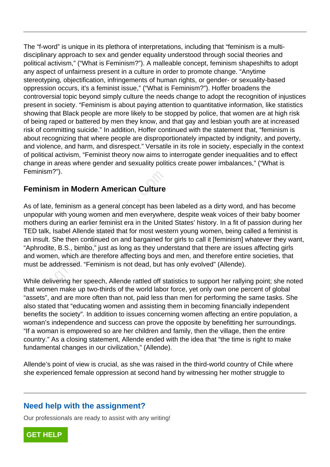The "f-word" is unique in its plethora of interpretations, including that "feminism is a multidisciplinary approach to sex and gender equality understood through social theories and political activism," ("What is Feminism?"). A malleable concept, feminism shapeshifts to adopt any aspect of unfairness present in a culture in order to promote change. "Anytime stereotyping, objectification, infringements of human rights, or gender- or sexuality-based oppression occurs, it's a feminist issue," ("What is Feminism?"). Hoffer broadens the controversial topic beyond simply culture the needs change to adopt the recognition of injustices present in society. "Feminism is about paying attention to quantitative information, like statistics showing that Black people are more likely to be stopped by police, that women are at high risk of being raped or battered by men they know, and that gay and lesbian youth are at increased risk of committing suicide." In addition, Hoffer continued with the statement that, "feminism is about recognizing that where people are disproportionately impacted by indignity, and poverty, and violence, and harm, and disrespect." Versatile in its role in society, especially in the context of political activism, "Feminist theory now aims to interrogate gender inequalities and to effect change in areas where gender and sexuality politics create power imbalances," ("What is Feminism?").

# **Feminism in Modern American Culture**

As of late, feminism as a general concept has been labeled as a dirty word, and has become unpopular with young women and men everywhere, despite weak voices of their baby boomer mothers during an earlier feminist era in the United States' history. In a fit of passion during her TED talk, Isabel Allende stated that for most western young women, being called a feminist is an insult. She then continued on and bargained for girls to call it [feminism] whatever they want, "Aphrodite, B.S., bimbo," just as long as they understand that there are issues affecting girls and women, which are therefore affecting boys and men, and therefore entire societies, that must be addressed. "Feminism is not dead, but has only evolved" (Allende). F. T.<br> **m in Modern American Culture**<br>
feminism as a general concept has be<br>
with young women and men everywhe<br>
uring an earlier feminist era in the Unite<br>
sabel Allende stated that for most wes<br>
She then continued on and

While delivering her speech, Allende rattled off statistics to support her rallying point; she noted that women make up two-thirds of the world labor force, yet only own one percent of global "assets", and are more often than not, paid less than men for performing the same tasks. She also stated that "educating women and assisting them in becoming financially independent benefits the society". In addition to issues concerning women affecting an entire population, a woman's independence and success can prove the opposite by benefitting her surroundings. "If a woman is empowered so are her children and family, then the village, then the entire country." As a closing statement, Allende ended with the idea that "the time is right to make fundamental changes in our civilization," (Allende).

Allende's point of view is crucial, as she was raised in the third-world country of Chile where she experienced female oppression at second hand by witnessing her mother struggle to

# **Need help with the assignment?**

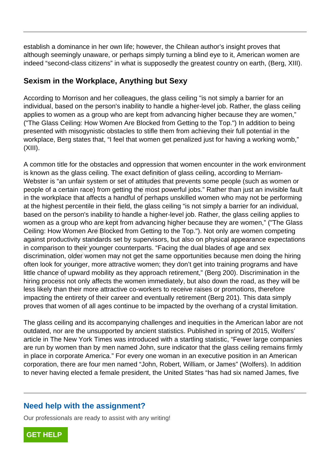establish a dominance in her own life; however, the Chilean author's insight proves that although seemingly unaware, or perhaps simply turning a blind eye to it, American women are indeed "second-class citizens" in what is supposedly the greatest country on earth, (Berg, XIII).

# **Sexism in the Workplace, Anything but Sexy**

According to Morrison and her colleagues, the glass ceiling "is not simply a barrier for an individual, based on the person's inability to handle a higher-level job. Rather, the glass ceiling applies to women as a group who are kept from advancing higher because they are women," ("The Glass Ceiling: How Women Are Blocked from Getting to the Top.") In addition to being presented with misogynistic obstacles to stifle them from achieving their full potential in the workplace, Berg states that, "I feel that women get penalized just for having a working womb," (XIII).

A common title for the obstacles and oppression that women encounter in the work environment is known as the glass ceiling. The exact definition of glass ceiling, according to Merriam-Webster is "an unfair system or set of attitudes that prevents some people (such as women or people of a certain race) from getting the most powerful jobs." Rather than just an invisible fault in the workplace that affects a handful of perhaps unskilled women who may not be performing at the highest percentile in their field, the glass ceiling "is not simply a barrier for an individual, based on the person's inability to handle a higher-level job. Rather, the glass ceiling applies to women as a group who are kept from advancing higher because they are women," ("The Glass Ceiling: How Women Are Blocked from Getting to the Top."). Not only are women competing against productivity standards set by supervisors, but also on physical appearance expectations in comparison to their younger counterparts. "Facing the dual blades of age and sex discrimination, older women may not get the same opportunities because men doing the hiring often look for younger, more attractive women; they don't get into training programs and have little chance of upward mobility as they approach retirement," (Berg 200). Discrimination in the hiring process not only affects the women immediately, but also down the road, as they will be less likely than their more attractive co-workers to receive raises or promotions, therefore impacting the entirety of their career and eventually retirement (Berg 201). This data simply proves that women of all ages continue to be impacted by the overhang of a crystal limitation. is the glass ceiling. The exact definition<br>is "an unfair system or set of attitudes the<br>a certain race) from getting the most por<br>splace that affects a handful of perhaps<br>est percentile in their field, the glass cor-<br>the p

The glass ceiling and its accompanying challenges and inequities in the American labor are not outdated, nor are the unsupported by ancient statistics. Published in spring of 2015, Wolfers' article in The New York Times was introduced with a startling statistic, "Fewer large companies are run by women than by men named John, sure indicator that the glass ceiling remains firmly in place in corporate America." For every one woman in an executive position in an American corporation, there are four men named "John, Robert, William, or James" (Wolfers). In addition to never having elected a female president, the United States "has had six named James, five

# **Need help with the assignment?**

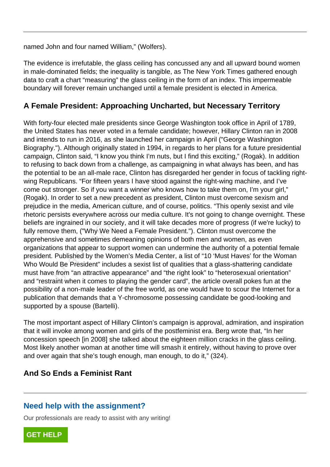named John and four named William," (Wolfers).

The evidence is irrefutable, the glass ceiling has concussed any and all upward bound women in male-dominated fields; the inequality is tangible, as The New York Times gathered enough data to craft a chart "measuring" the glass ceiling in the form of an index. This impermeable boundary will forever remain unchanged until a female president is elected in America.

#### **A Female President: Approaching Uncharted, but Necessary Territory**

With forty-four elected male presidents since George Washington took office in April of 1789, the United States has never voted in a female candidate; however, Hillary Clinton ran in 2008 and intends to run in 2016, as she launched her campaign in April ("George Washington Biography."). Although originally stated in 1994, in regards to her plans for a future presidential campaign, Clinton said, "I know you think I'm nuts, but I find this exciting," (Rogak). In addition to refusing to back down from a challenge, as campaigning in what always has been, and has the potential to be an all-male race, Clinton has disregarded her gender in focus of tackling rightwing Republicans. "For fifteen years I have stood against the right-wing machine, and I've come out stronger. So if you want a winner who knows how to take them on, I'm your girl," (Rogak). In order to set a new precedent as president, Clinton must overcome sexism and prejudice in the media, American culture, and of course, politics. "This openly sexist and vile rhetoric persists everywhere across our media culture. It's not going to change overnight. These beliefs are ingrained in our society, and it will take decades more of progress (if we're lucky) to fully remove them, ("Why We Need a Female President."). Clinton must overcome the apprehensive and sometimes demeaning opinions of both men and women, as even organizations that appear to support women can undermine the authority of a potential female president. Published by the Women's Media Center, a list of "10 'Must Haves' for the Woman Who Would Be President" includes a sexist list of qualities that a glass-shattering candidate must have from "an attractive appearance" and "the right look" to "heterosexual orientation" and "restraint when it comes to playing the gender card", the article overall pokes fun at the possibility of a non-male leader of the free world, as one would have to scour the Internet for a publication that demands that a Y-chromosome possessing candidate be good-looking and supported by a spouse (Bartelli). all to be an all-male race, Clinton has diblicans. "For fifteen years I have stood<br>stronger. So if you want a winner who k<br>n order to set a new precedent as presi<br>n the media, American culture, and of a<br>risists everywhere

The most important aspect of Hillary Clinton's campaign is approval, admiration, and inspiration that it will invoke among women and girls of the postfeminist era. Berg wrote that, "In her concession speech [in 2008] she talked about the eighteen million cracks in the glass ceiling. Most likely another woman at another time will smash it entirely, without having to prove over and over again that she's tough enough, man enough, to do it," (324).

#### **And So Ends a Feminist Rant**

#### **Need help with the assignment?**

Our professionals are ready to assist with any writing!

**[GET HELP](https://my.gradesfixer.com/order?utm_campaign=pdf_sample)**